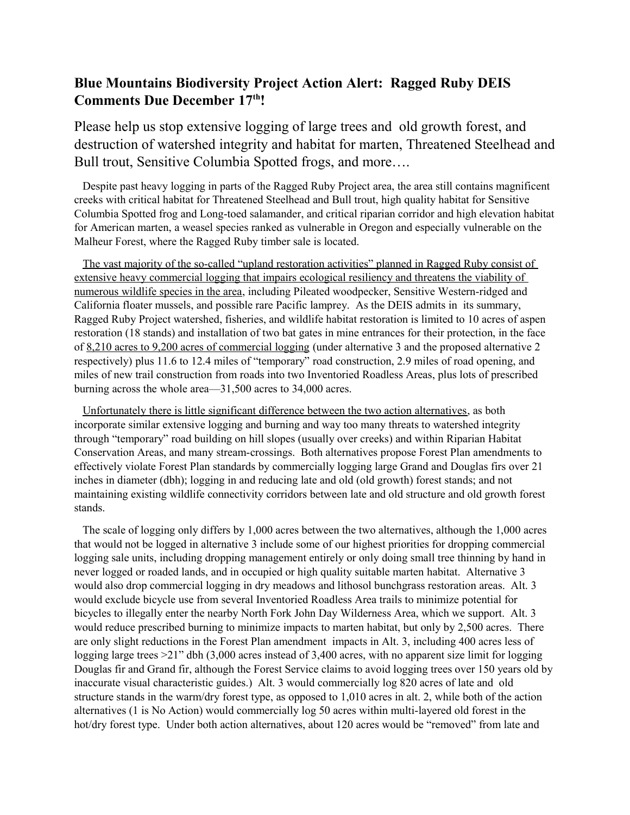# **Blue Mountains Biodiversity Project Action Alert: Ragged Ruby DEIS Comments Due December 17th!**

Please help us stop extensive logging of large trees and old growth forest, and destruction of watershed integrity and habitat for marten, Threatened Steelhead and Bull trout, Sensitive Columbia Spotted frogs, and more….

 Despite past heavy logging in parts of the Ragged Ruby Project area, the area still contains magnificent creeks with critical habitat for Threatened Steelhead and Bull trout, high quality habitat for Sensitive Columbia Spotted frog and Long-toed salamander, and critical riparian corridor and high elevation habitat for American marten, a weasel species ranked as vulnerable in Oregon and especially vulnerable on the Malheur Forest, where the Ragged Ruby timber sale is located.

 The vast majority of the so-called "upland restoration activities" planned in Ragged Ruby consist of extensive heavy commercial logging that impairs ecological resiliency and threatens the viability of numerous wildlife species in the area, including Pileated woodpecker, Sensitive Western-ridged and California floater mussels, and possible rare Pacific lamprey. As the DEIS admits in its summary, Ragged Ruby Project watershed, fisheries, and wildlife habitat restoration is limited to 10 acres of aspen restoration (18 stands) and installation of two bat gates in mine entrances for their protection, in the face of 8,210 acres to 9,200 acres of commercial logging (under alternative 3 and the proposed alternative 2 respectively) plus 11.6 to 12.4 miles of "temporary" road construction, 2.9 miles of road opening, and miles of new trail construction from roads into two Inventoried Roadless Areas, plus lots of prescribed burning across the whole area—31,500 acres to 34,000 acres.

 Unfortunately there is little significant difference between the two action alternatives, as both incorporate similar extensive logging and burning and way too many threats to watershed integrity through "temporary" road building on hill slopes (usually over creeks) and within Riparian Habitat Conservation Areas, and many stream-crossings. Both alternatives propose Forest Plan amendments to effectively violate Forest Plan standards by commercially logging large Grand and Douglas firs over 21 inches in diameter (dbh); logging in and reducing late and old (old growth) forest stands; and not maintaining existing wildlife connectivity corridors between late and old structure and old growth forest stands.

 The scale of logging only differs by 1,000 acres between the two alternatives, although the 1,000 acres that would not be logged in alternative 3 include some of our highest priorities for dropping commercial logging sale units, including dropping management entirely or only doing small tree thinning by hand in never logged or roaded lands, and in occupied or high quality suitable marten habitat. Alternative 3 would also drop commercial logging in dry meadows and lithosol bunchgrass restoration areas. Alt. 3 would exclude bicycle use from several Inventoried Roadless Area trails to minimize potential for bicycles to illegally enter the nearby North Fork John Day Wilderness Area, which we support. Alt. 3 would reduce prescribed burning to minimize impacts to marten habitat, but only by 2,500 acres. There are only slight reductions in the Forest Plan amendment impacts in Alt. 3, including 400 acres less of logging large trees >21" dbh (3,000 acres instead of 3,400 acres, with no apparent size limit for logging Douglas fir and Grand fir, although the Forest Service claims to avoid logging trees over 150 years old by inaccurate visual characteristic guides.) Alt. 3 would commercially log 820 acres of late and old structure stands in the warm/dry forest type, as opposed to 1,010 acres in alt. 2, while both of the action alternatives (1 is No Action) would commercially log 50 acres within multi-layered old forest in the hot/dry forest type. Under both action alternatives, about 120 acres would be "removed" from late and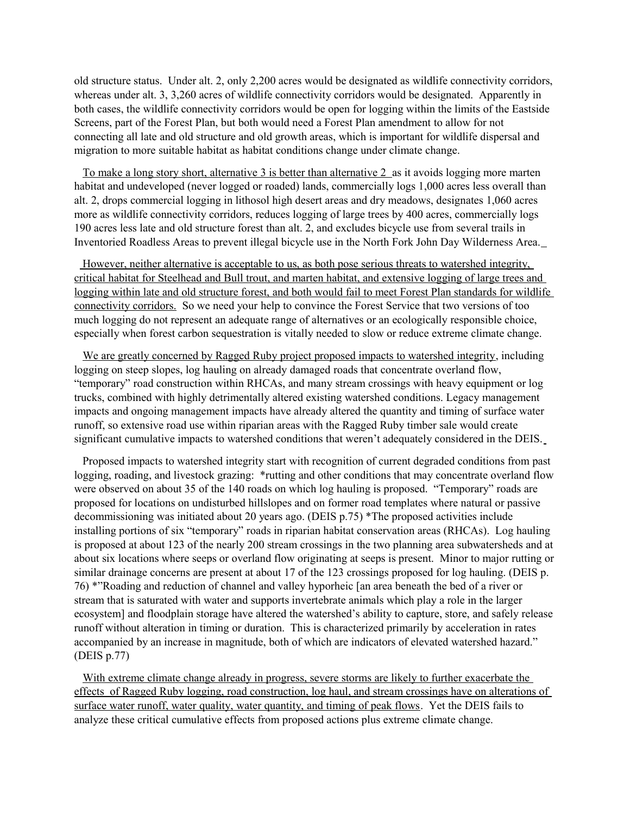old structure status. Under alt. 2, only 2,200 acres would be designated as wildlife connectivity corridors, whereas under alt. 3, 3,260 acres of wildlife connectivity corridors would be designated. Apparently in both cases, the wildlife connectivity corridors would be open for logging within the limits of the Eastside Screens, part of the Forest Plan, but both would need a Forest Plan amendment to allow for not connecting all late and old structure and old growth areas, which is important for wildlife dispersal and migration to more suitable habitat as habitat conditions change under climate change.

 To make a long story short, alternative 3 is better than alternative 2 as it avoids logging more marten habitat and undeveloped (never logged or roaded) lands, commercially logs 1,000 acres less overall than alt. 2, drops commercial logging in lithosol high desert areas and dry meadows, designates 1,060 acres more as wildlife connectivity corridors, reduces logging of large trees by 400 acres, commercially logs 190 acres less late and old structure forest than alt. 2, and excludes bicycle use from several trails in Inventoried Roadless Areas to prevent illegal bicycle use in the North Fork John Day Wilderness Area.

 However, neither alternative is acceptable to us, as both pose serious threats to watershed integrity, critical habitat for Steelhead and Bull trout, and marten habitat, and extensive logging of large trees and logging within late and old structure forest, and both would fail to meet Forest Plan standards for wildlife connectivity corridors. So we need your help to convince the Forest Service that two versions of too much logging do not represent an adequate range of alternatives or an ecologically responsible choice, especially when forest carbon sequestration is vitally needed to slow or reduce extreme climate change.

We are greatly concerned by Ragged Ruby project proposed impacts to watershed integrity, including logging on steep slopes, log hauling on already damaged roads that concentrate overland flow, "temporary" road construction within RHCAs, and many stream crossings with heavy equipment or log trucks, combined with highly detrimentally altered existing watershed conditions. Legacy management impacts and ongoing management impacts have already altered the quantity and timing of surface water runoff, so extensive road use within riparian areas with the Ragged Ruby timber sale would create significant cumulative impacts to watershed conditions that weren't adequately considered in the DEIS.

 Proposed impacts to watershed integrity start with recognition of current degraded conditions from past logging, roading, and livestock grazing: \*rutting and other conditions that may concentrate overland flow were observed on about 35 of the 140 roads on which log hauling is proposed. "Temporary" roads are proposed for locations on undisturbed hillslopes and on former road templates where natural or passive decommissioning was initiated about 20 years ago. (DEIS p.75) \*The proposed activities include installing portions of six "temporary" roads in riparian habitat conservation areas (RHCAs). Log hauling is proposed at about 123 of the nearly 200 stream crossings in the two planning area subwatersheds and at about six locations where seeps or overland flow originating at seeps is present. Minor to major rutting or similar drainage concerns are present at about 17 of the 123 crossings proposed for log hauling. (DEIS p. 76) \*"Roading and reduction of channel and valley hyporheic [an area beneath the bed of a river or stream that is saturated with water and supports invertebrate animals which play a role in the larger ecosystem] and floodplain storage have altered the watershed's ability to capture, store, and safely release runoff without alteration in timing or duration. This is characterized primarily by acceleration in rates accompanied by an increase in magnitude, both of which are indicators of elevated watershed hazard." (DEIS p.77)

With extreme climate change already in progress, severe storms are likely to further exacerbate the effects of Ragged Ruby logging, road construction, log haul, and stream crossings have on alterations of surface water runoff, water quality, water quantity, and timing of peak flows. Yet the DEIS fails to analyze these critical cumulative effects from proposed actions plus extreme climate change.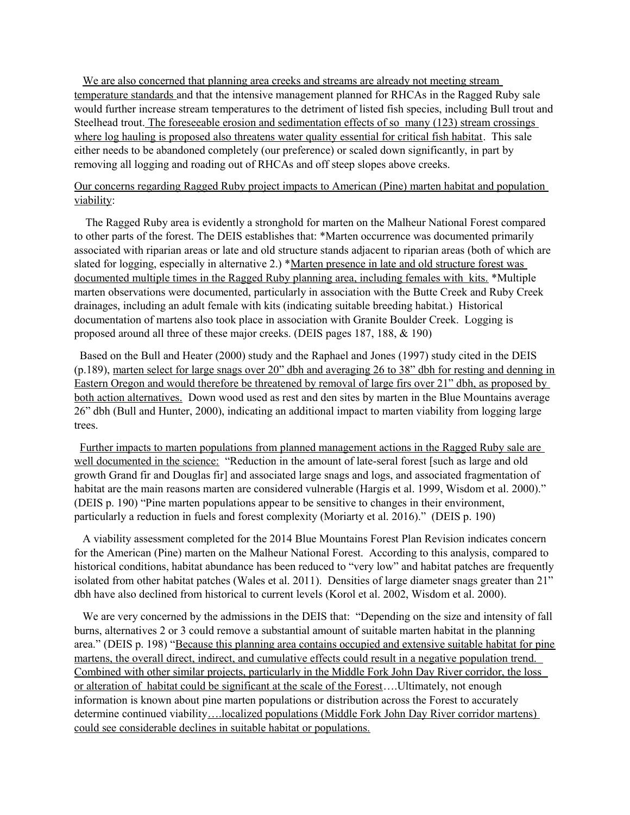We are also concerned that planning area creeks and streams are already not meeting stream temperature standards and that the intensive management planned for RHCAs in the Ragged Ruby sale would further increase stream temperatures to the detriment of listed fish species, including Bull trout and Steelhead trout. The foreseeable erosion and sedimentation effects of so many (123) stream crossings where log hauling is proposed also threatens water quality essential for critical fish habitat. This sale either needs to be abandoned completely (our preference) or scaled down significantly, in part by removing all logging and roading out of RHCAs and off steep slopes above creeks.

## Our concerns regarding Ragged Ruby project impacts to American (Pine) marten habitat and population viability:

 The Ragged Ruby area is evidently a stronghold for marten on the Malheur National Forest compared to other parts of the forest. The DEIS establishes that: \*Marten occurrence was documented primarily associated with riparian areas or late and old structure stands adjacent to riparian areas (both of which are slated for logging, especially in alternative 2.) \*Marten presence in late and old structure forest was documented multiple times in the Ragged Ruby planning area, including females with kits. \*Multiple marten observations were documented, particularly in association with the Butte Creek and Ruby Creek drainages, including an adult female with kits (indicating suitable breeding habitat.) Historical documentation of martens also took place in association with Granite Boulder Creek. Logging is proposed around all three of these major creeks. (DEIS pages 187, 188, & 190)

 Based on the Bull and Heater (2000) study and the Raphael and Jones (1997) study cited in the DEIS (p.189), marten select for large snags over 20" dbh and averaging 26 to 38" dbh for resting and denning in Eastern Oregon and would therefore be threatened by removal of large firs over 21" dbh, as proposed by both action alternatives. Down wood used as rest and den sites by marten in the Blue Mountains average 26" dbh (Bull and Hunter, 2000), indicating an additional impact to marten viability from logging large trees.

 Further impacts to marten populations from planned management actions in the Ragged Ruby sale are well documented in the science: "Reduction in the amount of late-seral forest [such as large and old growth Grand fir and Douglas fir] and associated large snags and logs, and associated fragmentation of habitat are the main reasons marten are considered vulnerable (Hargis et al. 1999, Wisdom et al. 2000)." (DEIS p. 190) "Pine marten populations appear to be sensitive to changes in their environment, particularly a reduction in fuels and forest complexity (Moriarty et al. 2016)." (DEIS p. 190)

 A viability assessment completed for the 2014 Blue Mountains Forest Plan Revision indicates concern for the American (Pine) marten on the Malheur National Forest. According to this analysis, compared to historical conditions, habitat abundance has been reduced to "very low" and habitat patches are frequently isolated from other habitat patches (Wales et al. 2011). Densities of large diameter snags greater than 21" dbh have also declined from historical to current levels (Korol et al. 2002, Wisdom et al. 2000).

 We are very concerned by the admissions in the DEIS that: "Depending on the size and intensity of fall burns, alternatives 2 or 3 could remove a substantial amount of suitable marten habitat in the planning area." (DEIS p. 198) "Because this planning area contains occupied and extensive suitable habitat for pine martens, the overall direct, indirect, and cumulative effects could result in a negative population trend. Combined with other similar projects, particularly in the Middle Fork John Day River corridor, the loss or alteration of habitat could be significant at the scale of the Forest….Ultimately, not enough information is known about pine marten populations or distribution across the Forest to accurately determine continued viability….localized populations (Middle Fork John Day River corridor martens) could see considerable declines in suitable habitat or populations.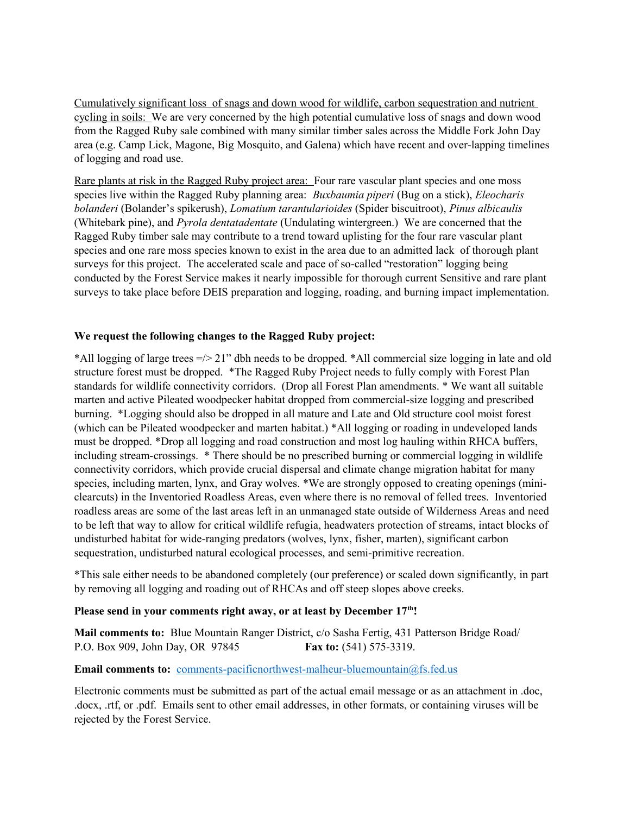Cumulatively significant loss of snags and down wood for wildlife, carbon sequestration and nutrient cycling in soils: We are very concerned by the high potential cumulative loss of snags and down wood from the Ragged Ruby sale combined with many similar timber sales across the Middle Fork John Day area (e.g. Camp Lick, Magone, Big Mosquito, and Galena) which have recent and over-lapping timelines of logging and road use.

Rare plants at risk in the Ragged Ruby project area: Four rare vascular plant species and one moss species live within the Ragged Ruby planning area: *Buxbaumia piperi* (Bug on a stick), *Eleocharis bolanderi* (Bolander's spikerush), *Lomatium tarantularioides* (Spider biscuitroot), *Pinus albicaulis*  (Whitebark pine), and *Pyrola dentatadentate* (Undulating wintergreen.) We are concerned that the Ragged Ruby timber sale may contribute to a trend toward uplisting for the four rare vascular plant species and one rare moss species known to exist in the area due to an admitted lack of thorough plant surveys for this project. The accelerated scale and pace of so-called "restoration" logging being conducted by the Forest Service makes it nearly impossible for thorough current Sensitive and rare plant surveys to take place before DEIS preparation and logging, roading, and burning impact implementation.

#### **We request the following changes to the Ragged Ruby project:**

\*All logging of large trees =/> 21" dbh needs to be dropped. \*All commercial size logging in late and old structure forest must be dropped. \*The Ragged Ruby Project needs to fully comply with Forest Plan standards for wildlife connectivity corridors. (Drop all Forest Plan amendments. \* We want all suitable marten and active Pileated woodpecker habitat dropped from commercial-size logging and prescribed burning. \*Logging should also be dropped in all mature and Late and Old structure cool moist forest (which can be Pileated woodpecker and marten habitat.) \*All logging or roading in undeveloped lands must be dropped. \*Drop all logging and road construction and most log hauling within RHCA buffers, including stream-crossings. \* There should be no prescribed burning or commercial logging in wildlife connectivity corridors, which provide crucial dispersal and climate change migration habitat for many species, including marten, lynx, and Gray wolves. \*We are strongly opposed to creating openings (miniclearcuts) in the Inventoried Roadless Areas, even where there is no removal of felled trees. Inventoried roadless areas are some of the last areas left in an unmanaged state outside of Wilderness Areas and need to be left that way to allow for critical wildlife refugia, headwaters protection of streams, intact blocks of undisturbed habitat for wide-ranging predators (wolves, lynx, fisher, marten), significant carbon sequestration, undisturbed natural ecological processes, and semi-primitive recreation.

\*This sale either needs to be abandoned completely (our preference) or scaled down significantly, in part by removing all logging and roading out of RHCAs and off steep slopes above creeks.

#### **Please send in your comments right away, or at least by December 17th!**

**Mail comments to:** Blue Mountain Ranger District, c/o Sasha Fertig, 431 Patterson Bridge Road/ P.O. Box 909, John Day, OR 97845 **Fax to:** (541) 575-3319.

### **Email comments to:** [comments-pacificnorthwest-malheur-bluemountain@fs.fed.us](mailto:comments-pacificnorthwest-malheur-bluemountain@fs.fed.us)

Electronic comments must be submitted as part of the actual email message or as an attachment in .doc, .docx, .rtf, or .pdf. Emails sent to other email addresses, in other formats, or containing viruses will be rejected by the Forest Service.